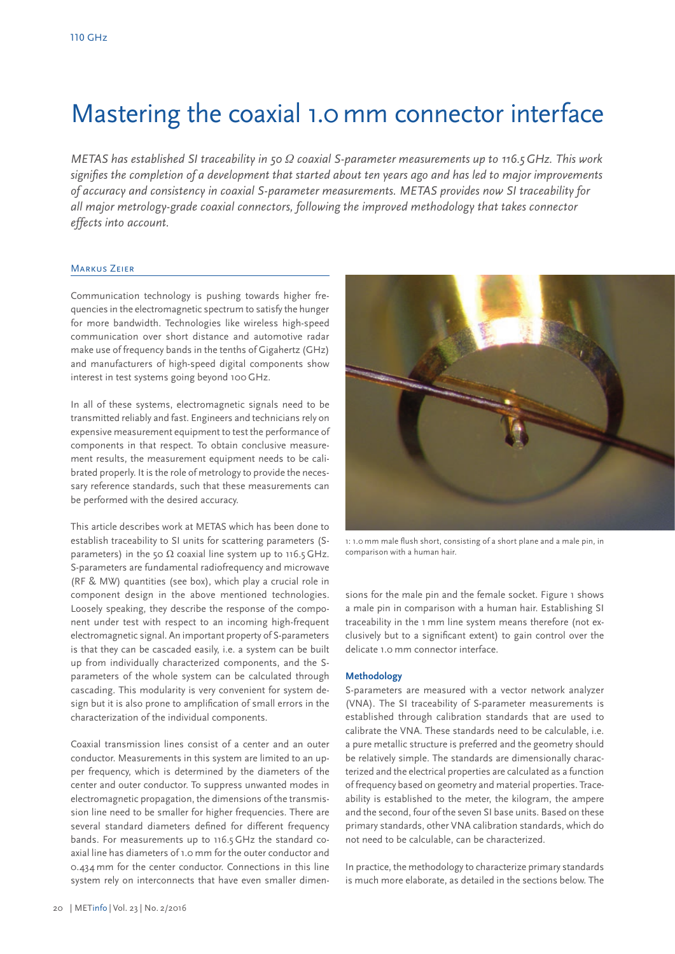# Mastering the coaxial 1.0 mm connector interface

*METAS has established SI traceability in 50 Ω coaxial S-parameter measurements up to 116.5 GHz. This work signifies the completion of a development that started about ten years ago and has led to major improvements of accuracy and consistency in coaxial S-parameter measurements. METAS provides now SI traceability for all major metrology-grade coaxial connectors, following the improved methodology that takes connector effects into account.*

## Markus Zeier

Communication technology is pushing towards higher frequencies in the electromagnetic spectrum to satisfy the hunger for more bandwidth. Technologies like wireless high-speed communication over short distance and automotive radar make use of frequency bands in the tenths of Gigahertz (GHz) and manufacturers of high-speed digital components show interest in test systems going beyond 100 GHz.

In all of these systems, electromagnetic signals need to be transmitted reliably and fast. Engineers and technicians rely on expensive measurement equipment to test the performance of components in that respect. To obtain conclusive measurement results, the measurement equipment needs to be calibrated properly. It is the role of metrology to provide the necessary reference standards, such that these measurements can be performed with the desired accuracy.

This article describes work at METAS which has been done to establish traceability to SI units for scattering parameters (Sparameters) in the 50  $\Omega$  coaxial line system up to 116.5 GHz. S-parameters are fundamental radiofrequency and microwave (RF & MW) quantities (see box), which play a crucial role in component design in the above mentioned technologies. Loosely speaking, they describe the response of the component under test with respect to an incoming high-frequent electromagnetic signal. An important property of S-parameters is that they can be cascaded easily, i.e. a system can be built up from individually characterized components, and the Sparameters of the whole system can be calculated through cascading. This modularity is very convenient for system design but it is also prone to amplification of small errors in the characterization of the individual components.

Coaxial transmission lines consist of a center and an outer conductor. Measurements in this system are limited to an upper frequency, which is determined by the diameters of the center and outer conductor. To suppress unwanted modes in electromagnetic propagation, the dimensions of the transmission line need to be smaller for higher frequencies. There are several standard diameters defined for different frequency bands. For measurements up to 116.5 GHz the standard coaxial line has diameters of 1.0 mm for the outer conductor and 0.434 mm for the center conductor. Connections in this line system rely on interconnects that have even smaller dimen-



1: 1.0 mm male flush short, consisting of a short plane and a male pin, in comparison with a human hair.

sions for the male pin and the female socket. Figure 1 shows a male pin in comparison with a human hair. Establishing SI traceability in the 1 mm line system means therefore (not exclusively but to a significant extent) to gain control over the delicate 1.0 mm connector interface.

## **Methodology**

S-parameters are measured with a vector network analyzer (VNA). The SI traceability of S-parameter measurements is established through calibration standards that are used to calibrate the VNA. These standards need to be calculable, i.e. a pure metallic structure is preferred and the geometry should be relatively simple. The standards are dimensionally characterized and the electrical properties are calculated as a function of frequency based on geometry and material properties. Traceability is established to the meter, the kilogram, the ampere and the second, four of the seven SI base units. Based on these primary standards, other VNA calibration standards, which do not need to be calculable, can be characterized.

In practice, the methodology to characterize primary standards is much more elaborate, as detailed in the sections below. The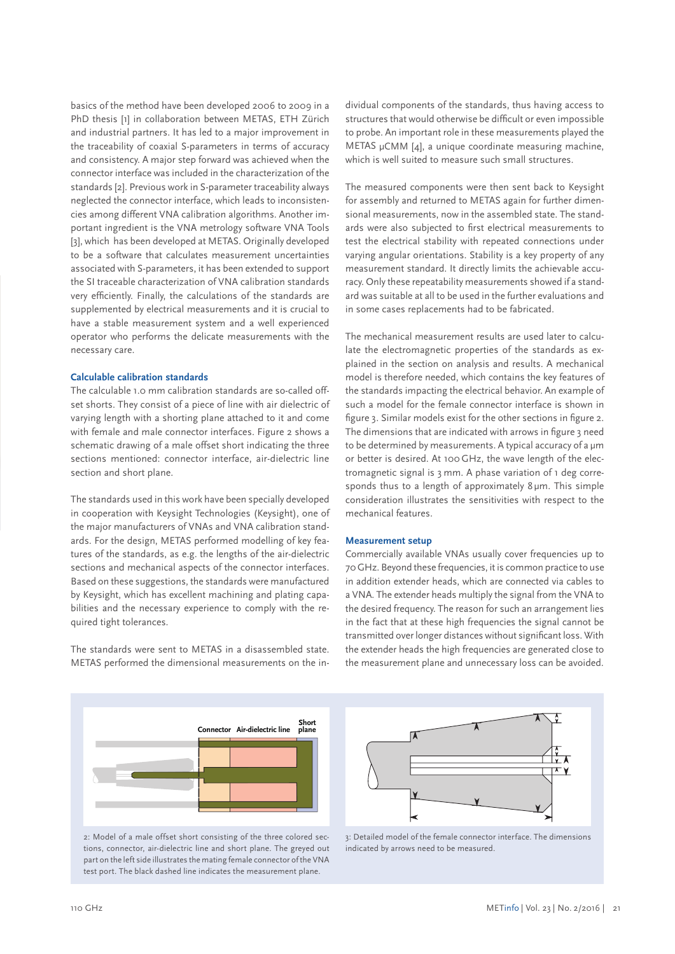basics of the method have been developed 2006 to 2009 in a PhD thesis [1] in collaboration between METAS, ETH Zürich and industrial partners. It has led to a major improvement in the traceability of coaxial S-parameters in terms of accuracy and consistency. A major step forward was achieved when the connector interface was included in the characterization of the standards [2]. Previous work in S-parameter traceability always neglected the connector interface, which leads to inconsistencies among different VNA calibration algorithms. Another important ingredient is the VNA metrology software VNA Tools [3], which has been developed at METAS. Originally developed to be a software that calculates measurement uncertainties associated with S-parameters, it has been extended to support the SI traceable characterization of VNA calibration standards very efficiently. Finally, the calculations of the standards are supplemented by electrical measurements and it is crucial to have a stable measurement system and a well experienced operator who performs the delicate measurements with the necessary care.

## **Calculable calibration standards**

The calculable 1.0 mm calibration standards are so-called offset shorts. They consist of a piece of line with air dielectric of varying length with a shorting plane attached to it and come with female and male connector interfaces. Figure 2 shows a schematic drawing of a male offset short indicating the three sections mentioned: connector interface, air-dielectric line section and short plane.

The standards used in this work have been specially developed in cooperation with Keysight Technologies (Keysight), one of the major manufacturers of VNAs and VNA calibration standards. For the design, METAS performed modelling of key features of the standards, as e.g. the lengths of the air-dielectric sections and mechanical aspects of the connector interfaces. Based on these suggestions, the standards were manufactured by Keysight, which has excellent machining and plating capabilities and the necessary experience to comply with the required tight tolerances.

The standards were sent to METAS in a disassembled state. METAS performed the dimensional measurements on the in-

dividual components of the standards, thus having access to structures that would otherwise be difficult or even impossible to probe. An important role in these measurements played the METAS μCMM [4], a unique coordinate measuring machine, which is well suited to measure such small structures.

The measured components were then sent back to Keysight for assembly and returned to METAS again for further dimensional measurements, now in the assembled state. The standards were also subjected to first electrical measurements to test the electrical stability with repeated connections under varying angular orientations. Stability is a key property of any measurement standard. It directly limits the achievable accuracy. Only these repeatability measurements showed if a standard was suitable at all to be used in the further evaluations and in some cases replacements had to be fabricated.

The mechanical measurement results are used later to calculate the electromagnetic properties of the standards as explained in the section on analysis and results. A mechanical model is therefore needed, which contains the key features of the standards impacting the electrical behavior. An example of such a model for the female connector interface is shown in figure 3. Similar models exist for the other sections in figure 2. The dimensions that are indicated with arrows in figure 3 need to be determined by measurements. A typical accuracy of a μm or better is desired. At 100 GHz, the wave length of the electromagnetic signal is 3 mm. A phase variation of 1 deg corresponds thus to a length of approximately 8 μm. This simple consideration illustrates the sensitivities with respect to the mechanical features.

## **Measurement setup**

Commercially available VNAs usually cover frequencies up to 70 GHz. Beyond these frequencies, it is common practice to use in addition extender heads, which are connected via cables to a VNA. The extender heads multiply the signal from the VNA to the desired frequency. The reason for such an arrangement lies in the fact that at these high frequencies the signal cannot be transmitted over longer distances without significant loss. With the extender heads the high frequencies are generated close to the measurement plane and unnecessary loss can be avoided.



2: Model of a male offset short consisting of the three colored sections, connector, air-dielectric line and short plane. The greyed out part on the left side illustrates the mating female connector of the VNA test port. The black dashed line indicates the measurement plane.



3: Detailed model of the female connector interface. The dimensions indicated by arrows need to be measured.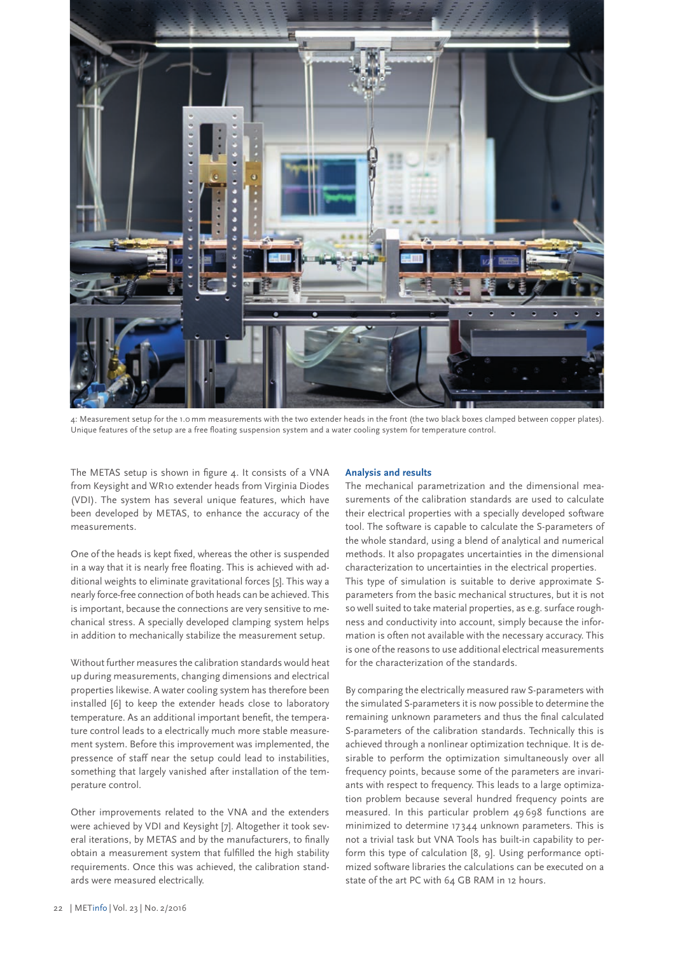

4: Measurement setup for the 1.0 mm measurements with the two extender heads in the front (the two black boxes clamped between copper plates). Unique features of the setup are a free floating suspension system and a water cooling system for temperature control.

The METAS setup is shown in figure 4. It consists of a VNA from Keysight and WR10 extender heads from Virginia Diodes (VDI). The system has several unique features, which have been developed by METAS, to enhance the accuracy of the measurements.

One of the heads is kept fixed, whereas the other is suspended in a way that it is nearly free floating. This is achieved with additional weights to eliminate gravitational forces [5]. This way a nearly force-free connection of both heads can be achieved. This is important, because the connections are very sensitive to mechanical stress. A specially developed clamping system helps in addition to mechanically stabilize the measurement setup.

Without further measures the calibration standards would heat up during measurements, changing dimensions and electrical properties likewise. A water cooling system has therefore been installed [6] to keep the extender heads close to laboratory temperature. As an additional important benefit, the temperature control leads to a electrically much more stable measurement system. Before this improvement was implemented, the pressence of staff near the setup could lead to instabilities, something that largely vanished after installation of the temperature control.

Other improvements related to the VNA and the extenders were achieved by VDI and Keysight [7]. Altogether it took several iterations, by METAS and by the manufacturers, to finally obtain a measurement system that fulfilled the high stability requirements. Once this was achieved, the calibration standards were measured electrically.

## **Analysis and results**

The mechanical parametrization and the dimensional measurements of the calibration standards are used to calculate their electrical properties with a specially developed software tool. The software is capable to calculate the S-parameters of the whole standard, using a blend of analytical and numerical methods. It also propagates uncertainties in the dimensional characterization to uncertainties in the electrical properties. This type of simulation is suitable to derive approximate Sparameters from the basic mechanical structures, but it is not so well suited to take material properties, as e.g. surface roughness and conductivity into account, simply because the information is often not available with the necessary accuracy. This is one of the reasons to use additional electrical measurements for the characterization of the standards.

By comparing the electrically measured raw S-parameters with the simulated S-parameters it is now possible to determine the remaining unknown parameters and thus the final calculated S-parameters of the calibration standards. Technically this is achieved through a nonlinear optimization technique. It is desirable to perform the optimization simultaneously over all frequency points, because some of the parameters are invariants with respect to frequency. This leads to a large optimization problem because several hundred frequency points are measured. In this particular problem 49 698 functions are minimized to determine 17 344 unknown parameters. This is not a trivial task but VNA Tools has built-in capability to perform this type of calculation [8, 9]. Using performance optimized software libraries the calculations can be executed on a state of the art PC with 64 GB RAM in 12 hours.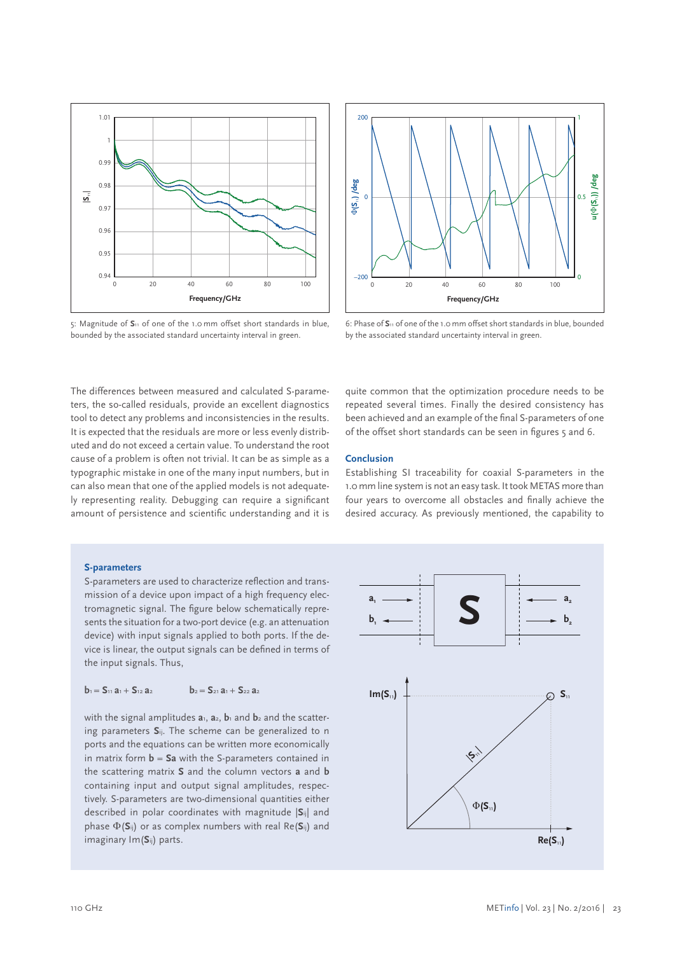

5: Magnitude of **S**11 of one of the 1.0 mm offset short standards in blue, bounded by the associated standard uncertainty interval in green.



6: Phase of **S**11 of one of the 1.0 mm offset short standards in blue, bounded by the associated standard uncertainty interval in green.

The differences between measured and calculated S-parameters, the so-called residuals, provide an excellent diagnostics tool to detect any problems and inconsistencies in the results. It is expected that the residuals are more or less evenly distributed and do not exceed a certain value. To understand the root cause of a problem is often not trivial. It can be as simple as a typographic mistake in one of the many input numbers, but in can also mean that one of the applied models is not adequately representing reality. Debugging can require a significant amount of persistence and scientific understanding and it is

quite common that the optimization procedure needs to be repeated several times. Finally the desired consistency has been achieved and an example of the final S-parameters of one of the offset short standards can be seen in figures 5 and 6.

#### **Conclusion**

Establishing SI traceability for coaxial S-parameters in the 1.0 mm line system is not an easy task. It took METAS more than four years to overcome all obstacles and finally achieve the desired accuracy. As previously mentioned, the capability to

#### **S-parameters**

S-parameters are used to characterize reflection and transmission of a device upon impact of a high frequency electromagnetic signal. The figure below schematically represents the situation for a two-port device (e.g. an attenuation device) with input signals applied to both ports. If the device is linear, the output signals can be defined in terms of the input signals. Thus,

$$
b_1 = S_{11} a_1 + S_{12} a_2 \qquad \qquad b_2 = S_{21} a_1 + S_{22} a_2
$$

with the signal amplitudes  $a_1$ ,  $a_2$ ,  $b_1$  and  $b_2$  and the scattering parameters **S**ij. The scheme can be generalized to n ports and the equations can be written more economically in matrix form **b** = **Sa** with the S-parameters contained in the scattering matrix **S** and the column vectors **a** and **b** containing input and output signal amplitudes, respectively. S-parameters are two-dimensional quantities either described in polar coordinates with magnitude |**S**ij| and phase Φ(**S**ij) or as complex numbers with real Re(**S**ij) and imaginary Im(**S**ij) parts.

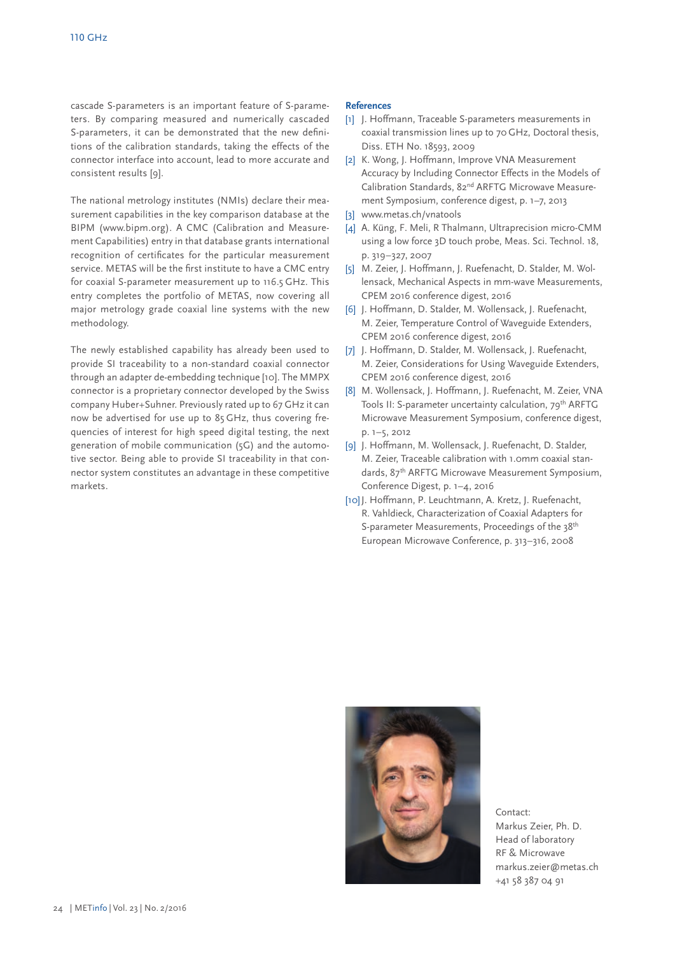cascade S-parameters is an important feature of S-parameters. By comparing measured and numerically cascaded S-parameters, it can be demonstrated that the new definitions of the calibration standards, taking the effects of the connector interface into account, lead to more accurate and consistent results [9].

The national metrology institutes (NMIs) declare their measurement capabilities in the key comparison database at the BIPM (www.bipm.org). A CMC (Calibration and Measurement Capabilities) entry in that database grants international recognition of certificates for the particular measurement service. METAS will be the first institute to have a CMC entry for coaxial S-parameter measurement up to 116.5 GHz. This entry completes the portfolio of METAS, now covering all major metrology grade coaxial line systems with the new methodology.

The newly established capability has already been used to provide SI traceability to a non-standard coaxial connector through an adapter de-embedding technique [10]. The MMPX connector is a proprietary connector developed by the Swiss company Huber+Suhner. Previously rated up to 67 GHz it can now be advertised for use up to 85 GHz, thus covering frequencies of interest for high speed digital testing, the next generation of mobile communication (5G) and the automotive sector. Being able to provide SI traceability in that connector system constitutes an advantage in these competitive markets.

#### **References**

- [1] J. Hoffmann, Traceable S-parameters measurements in coaxial transmission lines up to 70 GHz, Doctoral thesis, Diss. ETH No. 18593, 2009
- [2] K. Wong, J. Hoffmann, Improve VNA Measurement Accuracy by Including Connector Effects in the Models of Calibration Standards, 82<sup>nd</sup> ARFTG Microwave Measurement Symposium, conference digest, p. 1–7, 2013
- [3] www.metas.ch/vnatools
- [4] A. Küng, F. Meli, R Thalmann, Ultraprecision micro-CMM using a low force 3D touch probe, Meas. Sci. Technol. 18, p. 319–327, 2007
- [5] M. Zeier, J. Hoffmann, J. Ruefenacht, D. Stalder, M. Wollensack, Mechanical Aspects in mm-wave Measurements, CPEM 2016 conference digest, 2016
- [6] J. Hoffmann, D. Stalder, M. Wollensack, J. Ruefenacht, M. Zeier, Temperature Control of Waveguide Extenders, CPEM 2016 conference digest, 2016
- [7] J. Hoffmann, D. Stalder, M. Wollensack, J. Ruefenacht, M. Zeier, Considerations for Using Waveguide Extenders, CPEM 2016 conference digest, 2016
- [8] M. Wollensack, J. Hoffmann, J. Ruefenacht, M. Zeier, VNA Tools II: S-parameter uncertainty calculation, 79<sup>th</sup> ARFTG Microwave Measurement Symposium, conference digest, p. 1–5, 2012
- [9] J. Hoffmann, M. Wollensack, J. Ruefenacht, D. Stalder, M. Zeier, Traceable calibration with 1.0mm coaxial standards, 87<sup>th</sup> ARFTG Microwave Measurement Symposium, Conference Digest, p. 1–4, 2016
- [10] J. Hoffmann, P. Leuchtmann, A. Kretz, J. Ruefenacht, R. Vahldieck, Characterization of Coaxial Adapters for S-parameter Measurements, Proceedings of the 38<sup>th</sup> European Microwave Conference, p. 313–316, 2008



Contact: Markus Zeier, Ph. D. Head of laboratory RF & Microwave markus.zeier@metas.ch +41 58 387 04 91